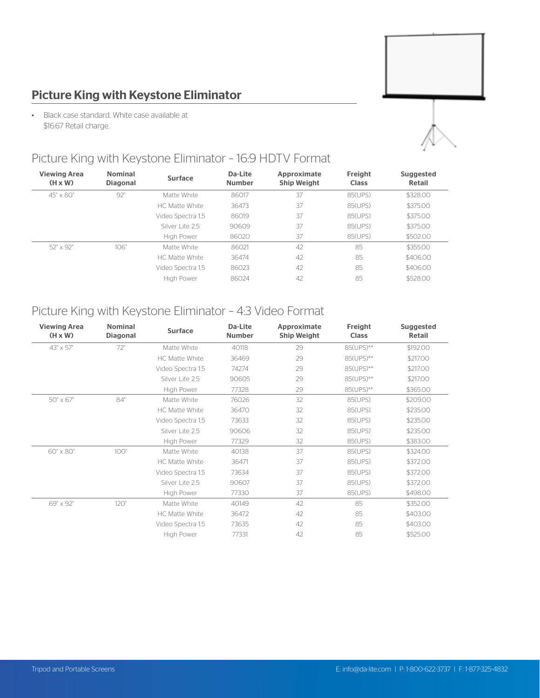# Picture King with Keystone Eliminator

• Black case standard. White case available at \$16.67 Retail charge.



### Picture King with Keystone Eliminator – 16:9 HDTV Format

| <b>Viewing Area</b><br>$(H \times W)$ | <b>Nominal</b><br><b>Diagonal</b> | Surface           | Da-Lite<br><b>Number</b> | Approximate<br><b>Ship Weight</b> | Freight<br><b>Class</b> | <b>Suggested</b><br>Retail |
|---------------------------------------|-----------------------------------|-------------------|--------------------------|-----------------------------------|-------------------------|----------------------------|
| $45" \times 80"$                      | 92"                               | Matte White       | 86017                    | 37                                | 85(UPS)                 | \$328.00                   |
|                                       |                                   | HC Matte White    | 36473                    | 37                                | 85(UPS)                 | \$375,00                   |
|                                       |                                   | Video Spectra 1.5 | 86019                    | 37                                | 85(UPS)                 | \$375,00                   |
|                                       |                                   | Silver Lite 2.5   | 90609                    | 37                                | 85(UPS)                 | \$375,00                   |
|                                       |                                   | High Power        | 86020                    | 37                                | 85(UPS)                 | \$502.00                   |
| 52" x 92"                             | 106"                              | Matte White       | 86021                    | 42                                | 85                      | \$355.00                   |
|                                       |                                   | HC Matte White    | 36474                    | 42                                | 85                      | \$406.00                   |
|                                       |                                   | Video Spectra 1.5 | 86023                    | 42                                | 85                      | \$406.00                   |
|                                       |                                   | High Power        | 86024                    | 42                                | 85                      | \$528.00                   |

### Picture King with Keystone Eliminator – 4:3 Video Format

| <b>Viewing Area</b><br>$(H \times W)$ | <b>Nominal</b><br><b>Diagonal</b> | <b>Surface</b>        | Da-Lite<br><b>Number</b> | Approximate<br><b>Ship Weight</b> | Freight<br><b>Class</b> | <b>Suggested</b><br>Retail |
|---------------------------------------|-----------------------------------|-----------------------|--------------------------|-----------------------------------|-------------------------|----------------------------|
| 43" x 57"                             | 72"                               | Matte White           | 40118                    | 29                                | 85(UPS)**               | \$192.00                   |
|                                       |                                   | <b>HC Matte White</b> | 36469                    | 29                                | 85(UPS)**               | \$217.00                   |
|                                       |                                   | Video Spectra 1.5     | 74274                    | 29                                | 85(UPS)**               | \$217.00                   |
|                                       |                                   | Silver Lite 2.5       | 90605                    | 29                                | 85(UPS)**               | \$217.00                   |
|                                       |                                   | High Power            | 77328                    | 29                                | 85(UPS)**               | \$365.00                   |
| 50" x 67"                             | 84"                               | Matte White           | 76026                    | 32                                | 85(UPS)                 | \$209.00                   |
|                                       |                                   | HC Matte White        | 36470                    | 32                                | 85(UPS)                 | \$235.00                   |
|                                       |                                   | Video Spectra 1.5     | 73633                    | 32                                | 85(UPS)                 | \$235.00                   |
|                                       |                                   | Silver Lite 2.5       | 90606                    | 32                                | 85(UPS)                 | \$235.00                   |
|                                       |                                   | High Power            | 77329                    | 32                                | 85(UPS)                 | \$383.00                   |
| 60" x 80"                             | 100"                              | Matte White           | 40138                    | 37                                | 85(UPS)                 | \$324.00                   |
|                                       |                                   | HC Matte White        | 36471                    | 37                                | 85(UPS)                 | \$372.00                   |
|                                       |                                   | Video Spectra 1.5     | 73634                    | 37                                | 85(UPS)                 | \$372.00                   |
|                                       |                                   | Silver Lite 2.5       | 90607                    | 37                                | 85(UPS)                 | \$372.00                   |
|                                       |                                   | High Power            | 77330                    | 37                                | 85(UPS)                 | \$498.00                   |
| 69" x 92"                             | 120"                              | Matte White           | 40149                    | 42                                | 85                      | \$352.00                   |
|                                       |                                   | <b>HC Matte White</b> | 36472                    | 42                                | 85                      | \$403.00                   |
|                                       |                                   | Video Spectra 1.5     | 73635                    | 42                                | 85                      | \$403.00                   |
|                                       |                                   | High Power            | 77331                    | 42                                | 85                      | \$525.00                   |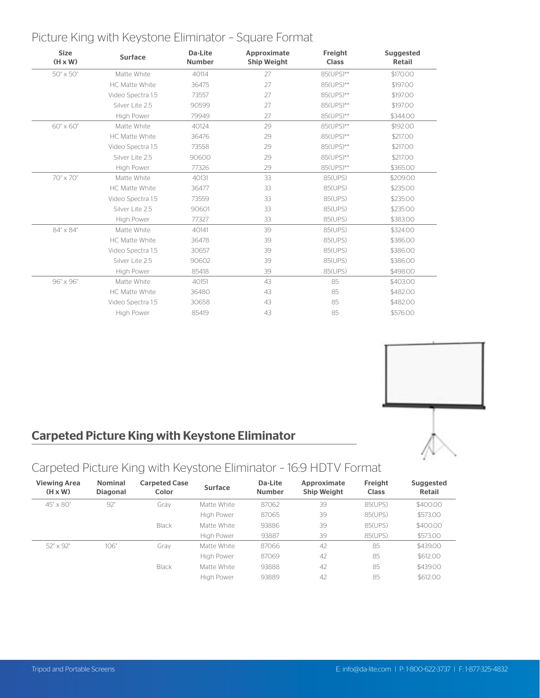### Picture King with Keystone Eliminator – Square Format

| <b>Size</b><br>$(H \times W)$ | <b>Surface</b>        | Da-Lite<br><b>Number</b> | Approximate<br><b>Ship Weight</b> | Freight<br><b>Class</b> | <b>Suggested</b><br><b>Retail</b> |
|-------------------------------|-----------------------|--------------------------|-----------------------------------|-------------------------|-----------------------------------|
| 50" x 50"                     | Matte White           | 40114                    | 27                                | 85(UPS)**               | \$170.00                          |
|                               | HC Matte White        | 36475                    | 27                                | 85(UPS)**               | \$197.00                          |
|                               | Video Spectra 1.5     | 73557                    | 27                                | 85(UPS)**               | \$197.00                          |
|                               | Silver Lite 2.5       | 90599                    | 27                                | 85(UPS)**               | \$197.00                          |
|                               | High Power            | 79949                    | 27                                | 85(UPS)**               | \$344.00                          |
| 60" x 60"                     | Matte White           | 40124                    | 29                                | 85(UPS)**               | \$192.00                          |
|                               | HC Matte White        | 36476                    | 29                                | 85(UPS)**               | \$217.00                          |
|                               | Video Spectra 1.5     | 73558                    | 29                                | 85(UPS)**               | \$217.00                          |
|                               | Silver Lite 2.5       | 90600                    | 29                                | 85(UPS)**               | \$217.00                          |
|                               | High Power            | 77326                    | 29                                | 85(UPS)**               | \$365.00                          |
| 70" x 70"                     | Matte White           | 40131                    | 33                                | 85(UPS)                 | \$209.00                          |
|                               | <b>HC Matte White</b> | 36477                    | 33                                | 85(UPS)                 | \$235.00                          |
|                               | Video Spectra 1.5     | 73559                    | 33                                | 85(UPS)                 | \$235.00                          |
|                               | Silver Lite 2.5       | 90601                    | 33                                | 85(UPS)                 | \$235.00                          |
|                               | High Power            | 77327                    | 33                                | 85(UPS)                 | \$383.00                          |
| 84" x 84"                     | Matte White           | 40141                    | 39                                | 85(UPS)                 | \$324.00                          |
|                               | HC Matte White        | 36478                    | 39                                | 85(UPS)                 | \$386.00                          |
|                               | Video Spectra 1.5     | 30657                    | 39                                | 85(UPS)                 | \$386.00                          |
|                               | Silver Lite 2.5       | 90602                    | 39                                | 85(UPS)                 | \$386.00                          |
|                               | High Power            | 85418                    | 39                                | 85(UPS)                 | \$498.00                          |
| 96" x 96"                     | Matte White           | 40151                    | 43                                | 85                      | \$403.00                          |
|                               | HC Matte White        | 36480                    | 43                                | 85                      | \$482.00                          |
|                               | Video Spectra 1.5     | 30658                    | 43                                | 85                      | \$482.00                          |
|                               | High Power            | 85419                    | 43                                | 85                      | \$576.00                          |



## Carpeted Picture King with Keystone Eliminator

# Carpeted Picture King with Keystone Eliminator – 16:9 HDTV Format

| <b>Viewing Area</b><br>$(H \times W)$ | <b>Nominal</b><br><b>Diagonal</b> | <b>Carpeted Case</b><br>Color | <b>Surface</b>    | Da-Lite<br><b>Number</b> | Approximate<br><b>Ship Weight</b> | Freight<br><b>Class</b> | Suggested<br>Retail |
|---------------------------------------|-----------------------------------|-------------------------------|-------------------|--------------------------|-----------------------------------|-------------------------|---------------------|
| $45" \times 80"$                      | 92"                               | Grav                          | Matte White       | 87062                    | 39                                | 85(UPS)                 | \$400.00            |
|                                       |                                   |                               | High Power        | 87065                    | 39                                | 85(UPS)                 | \$573.00            |
|                                       |                                   | Black                         | Matte White       | 93886                    | 39                                | 85(UPS)                 | \$400.00            |
|                                       |                                   |                               | High Power        | 93887                    | 39                                | 85(UPS)                 | \$573.00            |
| 52" x 92"                             | 106"                              | Grav                          | Matte White       | 87066                    | 42                                | 85                      | \$439.00            |
|                                       |                                   |                               | High Power        | 87069                    | 42                                | 85                      | \$612.00            |
|                                       |                                   | Black                         | Matte White       | 93888                    | 42                                | 85                      | \$439.00            |
|                                       |                                   |                               | <b>High Power</b> | 93889                    | 42                                | 85                      | \$612.00            |